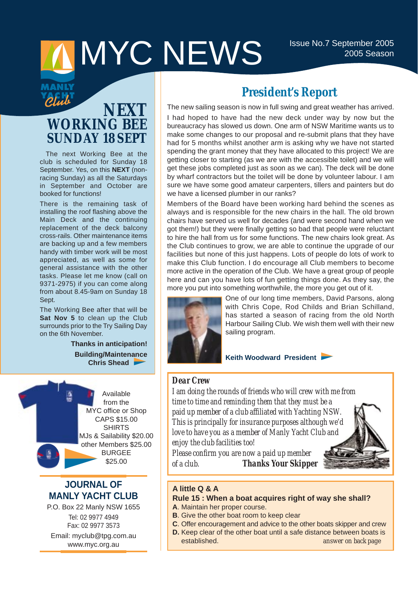# MYC NEWS ISSUE No.7 September 2005

pful

# **NEXT WORKING BEE SUNDAY 18 SEPT**

The next Working Bee at the club is scheduled for Sunday 18 September. Yes, on this **NEXT** (nonracing Sunday) as all the Saturdays in September and October are booked for functions!

There is the remaining task of installing the roof flashing above the Main Deck and the continuing replacement of the deck balcony cross-rails. Other maintenance items are backing up and a few members handy with timber work will be most appreciated, as well as some for general assistance with the other tasks. Please let me know (call on 9371-2975) if you can come along from about 8.45-9am on Sunday 18 Sept.

The Working Bee after that will be **Sat Nov 5** to clean up the Club surrounds prior to the Try Sailing Day on the 6th November.

> **Thanks in anticipation! Building/Maintenance Chris Shead**



## **JOURNAL OF MANLY YACHT CLUB**

P.O. Box 22 Manly NSW 1655 Tel: 02 9977 4949 Fax: 02 9977 3573 Email: myclub@tpg.com.au www.myc.org.au

# **President's Report**

The new sailing season is now in full swing and great weather has arrived. I had hoped to have had the new deck under way by now but the bureaucracy has slowed us down. One arm of NSW Maritime wants us to make some changes to our proposal and re-submit plans that they have had for 5 months whilst another arm is asking why we have not started spending the grant money that they have allocated to this project! We are getting closer to starting (as we are with the accessible toilet) and we will get these jobs completed just as soon as we can). The deck will be done by wharf contractors but the toilet will be done by volunteer labour. I am sure we have some good amateur carpenters, tillers and painters but do we have a licensed plumber in our ranks?

Members of the Board have been working hard behind the scenes as always and is responsible for the new chairs in the hall. The old brown chairs have served us well for decades (and were second hand when we got them!) but they were finally getting so bad that people were reluctant to hire the hall from us for some functions. The new chairs look great. As the Club continues to grow, we are able to continue the upgrade of our facilities but none of this just happens. Lots of people do lots of work to make this Club function. I do encourage all Club members to become more active in the operation of the Club. We have a great group of people here and can you have lots of fun getting things done. As they say, the more you put into something worthwhile, the more you get out of it.



One of our long time members, David Parsons, along with Chris Cope, Rod Childs and Brian Schilland, has started a season of racing from the old North Harbour Sailing Club. We wish them well with their new sailing program.

**Keith Woodward President** 

## *Dear Crew*

*I am doing the rounds of friends who will crew with me from time to time and reminding them that they must be a paid up member of a club affiliated with Yachting NSW. This is principally for insurance purposes although we'd love to have you as a member of Manly Yacht Club and enjoy the club facilities too!*

*Please confirm you are now a paid up member of a club. Thanks Your Skipper*



**A little Q & A**

### **Rule 15 : When a boat acquires right of way she shall?**

- **A**. Maintain her proper course.
- **B**. Give the other boat room to keep clear
- **C**. Offer encouragement and advice to the other boats skipper and crew
- **D.** Keep clear of the other boat until a safe distance between boats is established. *answer on back page*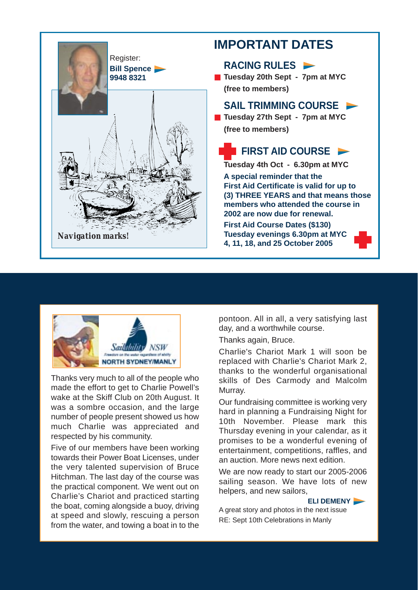



Thanks very much to all of the people who made the effort to get to Charlie Powell's wake at the Skiff Club on 20th August. It was a sombre occasion, and the large number of people present showed us how much Charlie was appreciated and respected by his community.

Five of our members have been working towards their Power Boat Licenses, under the very talented supervision of Bruce Hitchman. The last day of the course was the practical component. We went out on Charlie's Chariot and practiced starting the boat, coming alongside a buoy, driving at speed and slowly, rescuing a person from the water, and towing a boat in to the

pontoon. All in all, a very satisfying last day, and a worthwhile course.

Thanks again, Bruce.

Charlie's Chariot Mark 1 will soon be replaced with Charlie's Chariot Mark 2, thanks to the wonderful organisational skills of Des Carmody and Malcolm Murray.

Our fundraising committee is working very hard in planning a Fundraising Night for 10th November. Please mark this Thursday evening in your calendar, as it promises to be a wonderful evening of entertainment, competitions, raffles, and an auction. More news next edition.

We are now ready to start our 2005-2006 sailing season. We have lots of new helpers, and new sailors,



A great story and photos in the next issue RE: Sept 10th Celebrations in Manly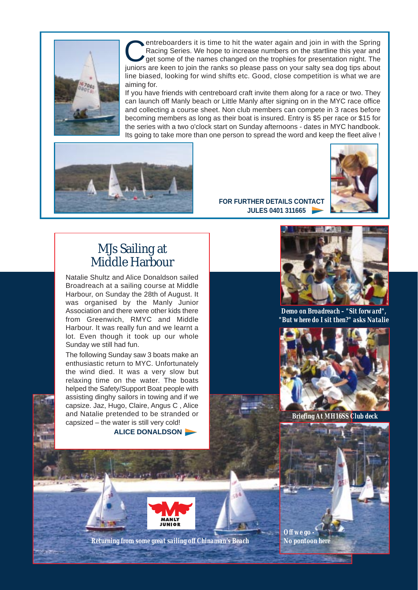

entreboarders it is time to hit the water again and join in with the Spring Racing Series. We hope to increase numbers on the startline this year and get some of the names changed on the trophies for presentation night. The juniors are keen to join the ranks so please pass on your salty sea dog tips about line biased, looking for wind shifts etc. Good, close competition is what we are aiming for.

If you have friends with centreboard craft invite them along for a race or two. They can launch off Manly beach or Little Manly after signing on in the MYC race office and collecting a course sheet. Non club members can compete in 3 races before becoming members as long as their boat is insured. Entry is \$5 per race or \$15 for the series with a two o'clock start on Sunday afternoons - dates in MYC handbook. Its going to take more than one person to spread the word and keep the fleet alive !





**FOR FURTHER DETAILS CONTACT JULES 0401 311665** 

# MJs Sailing at Middle Harbour

Natalie Shultz and Alice Donaldson sailed Broadreach at a sailing course at Middle Harbour, on Sunday the 28th of August. It was organised by the Manly Junior Association and there were other kids there from Greenwich, RMYC and Middle Harbour. It was really fun and we learnt a lot. Even though it took up our whole Sunday we still had fun.

The following Sunday saw 3 boats make an enthusiastic return to MYC. Unfortunately the wind died. It was a very slow but relaxing time on the water. The boats helped the Safety/Support Boat people with assisting dinghy sailors in towing and if we capsize. Jaz, Hugo, Claire, Angus C , Alice and Natalie pretended to be stranded or capsized – the water is still very cold!

**ALICE DONALDSON** 



*Demo on Broadreach – "Sit forward", "But where do I sit then?" asks Natalie*



*Briefing At MH16SS Club deck*





*Returning from some great sailing off Chinaman's Beach No pontoon here*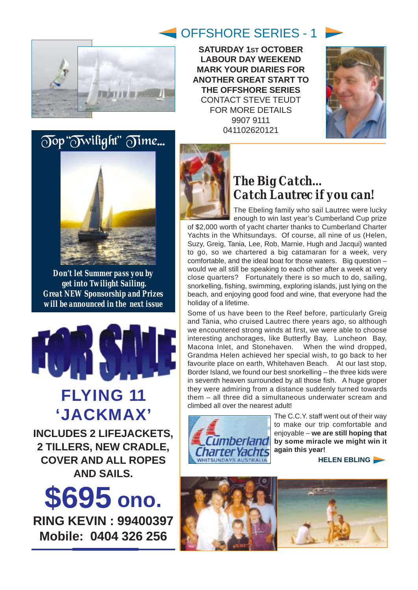

**SATURDAY 1ST OCTOBER LABOUR DAY WEEKEND MARK YOUR DIARIES FOR ANOTHER GREAT START TO THE OFFSHORE SERIES**  CONTACT STEVE TEUDT FOR MORE DETAILS 9907 9111 041102620121







*Don't let Summer pass you by get into Twilight Sailing. Great NEW Sponsorship and Prizes will be announced in the next issue* 



# **FLYING 11 'JACKMAX'**

**INCLUDES 2 LIFEJACKETS, 2 TILLERS, NEW CRADLE, COVER AND ALL ROPES AND SAILS.**





# *The Big Catch... Catch Lautrec if you can!*

The Ebeling family who sail Lautrec were lucky enough to win last year's Cumberland Cup prize of \$2,000 worth of yacht charter thanks to Cumberland Charter Yachts in the Whitsundays. Of course, all nine of us (Helen, Suzy, Greig, Tania, Lee, Rob, Marnie, Hugh and Jacqui) wanted to go, so we chartered a big catamaran for a week, very comfortable, and the ideal boat for those waters. Big question – would we all still be speaking to each other after a week at very close quarters? Fortunately there is so much to do, sailing, snorkelling, fishing, swimming, exploring islands, just lying on the beach, and enjoying good food and wine, that everyone had the holiday of a lifetime.

Some of us have been to the Reef before, particularly Greig and Tania, who cruised Lautrec there years ago, so although we encountered strong winds at first, we were able to choose interesting anchorages, like Butterfly Bay, Luncheon Bay, Macona Inlet, and Stonehaven. When the wind dropped, Grandma Helen achieved her special wish, to go back to her favourite place on earth, Whitehaven Beach. At our last stop, Border Island, we found our best snorkelling – the three kids were in seventh heaven surrounded by all those fish. A huge groper they were admiring from a distance suddenly turned towards them – all three did a simultaneous underwater scream and climbed all over the nearest adult!



The C.C.Y. staff went out of their way to make our trip comfortable and enjoyable – **we are still hoping that by some miracle we might win it again this year!** 

**HELEN EBLING** 

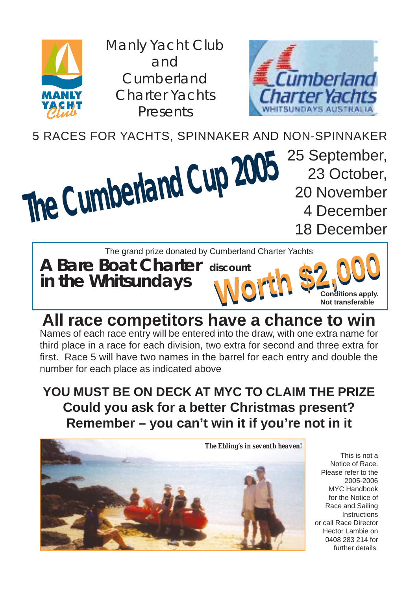

Manly Yacht Club and Cumberland Charter Yachts Presents



5 RACES FOR YACHTS, SPINNAKER AND NON-SPINNAKER

# **The Cumberland Cup 2005**

25 September, 23 October, 20 November 4 December 18 December

The grand prize donated by Cumberland Charter Yachts

**A Bare Boat Charter discount in the Whitsundays** 



Iscount<br> **WOMER \$2,000**<br>
Not transferable **Not transferable**

# **All race competitors have a chance to win** Names of each race entry will be entered into the draw, with one extra name for third place in a race for each division, two extra for second and three extra for first. Race 5 will have two names in the barrel for each entry and double the number for each place as indicated above

# **YOU MUST BE ON DECK AT MYC TO CLAIM THE PRIZE Could you ask for a better Christmas present? Remember – you can't win it if you're not in it**



This is not a Notice of Race. Please refer to the 2005-2006 MYC Handbook for the Notice of Race and Sailing Instructions or call Race Director Hector Lambie on 0408 283 214 for further details.